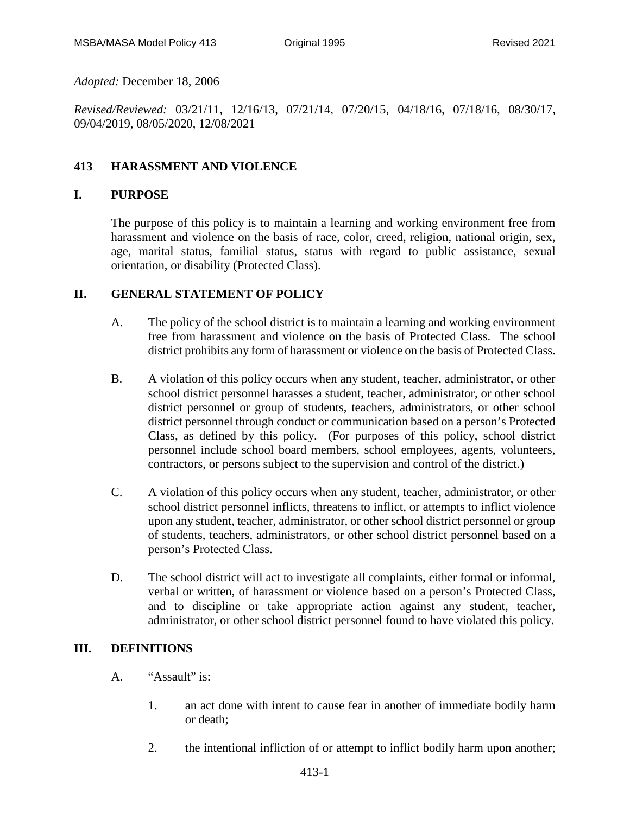*Adopted:* December 18, 2006

*Revised/Reviewed:* 03/21/11, 12/16/13, 07/21/14, 07/20/15, 04/18/16, 07/18/16, 08/30/17, 09/04/2019, 08/05/2020, 12/08/2021

## **413 HARASSMENT AND VIOLENCE**

#### **I. PURPOSE**

The purpose of this policy is to maintain a learning and working environment free from harassment and violence on the basis of race, color, creed, religion, national origin, sex, age, marital status, familial status, status with regard to public assistance, sexual orientation, or disability (Protected Class).

### **II. GENERAL STATEMENT OF POLICY**

- A. The policy of the school district is to maintain a learning and working environment free from harassment and violence on the basis of Protected Class. The school district prohibits any form of harassment or violence on the basis of Protected Class.
- B. A violation of this policy occurs when any student, teacher, administrator, or other school district personnel harasses a student, teacher, administrator, or other school district personnel or group of students, teachers, administrators, or other school district personnel through conduct or communication based on a person's Protected Class, as defined by this policy. (For purposes of this policy, school district personnel include school board members, school employees, agents, volunteers, contractors, or persons subject to the supervision and control of the district.)
- C. A violation of this policy occurs when any student, teacher, administrator, or other school district personnel inflicts, threatens to inflict, or attempts to inflict violence upon any student, teacher, administrator, or other school district personnel or group of students, teachers, administrators, or other school district personnel based on a person's Protected Class.
- D. The school district will act to investigate all complaints, either formal or informal, verbal or written, of harassment or violence based on a person's Protected Class, and to discipline or take appropriate action against any student, teacher, administrator, or other school district personnel found to have violated this policy.

### **III. DEFINITIONS**

- A. "Assault" is:
	- 1. an act done with intent to cause fear in another of immediate bodily harm or death;
	- 2. the intentional infliction of or attempt to inflict bodily harm upon another;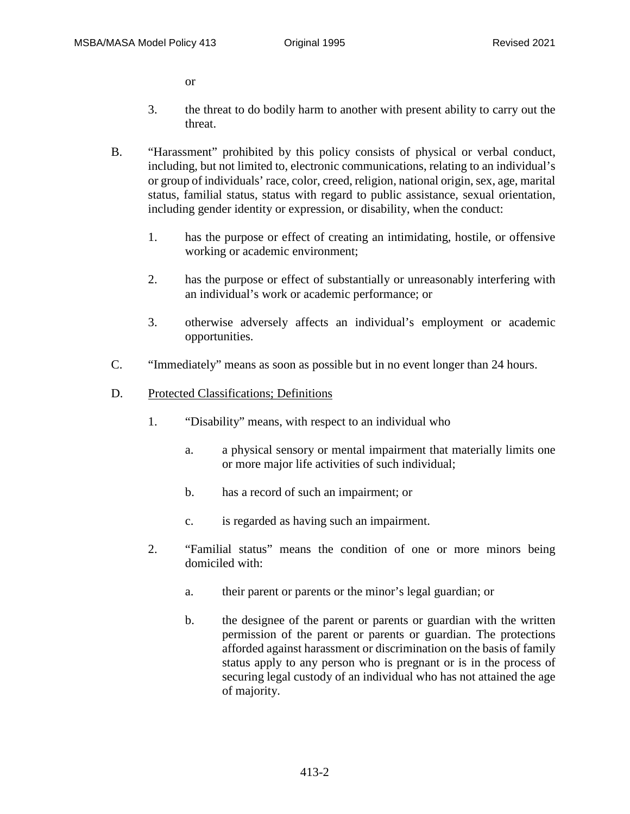or

- 3. the threat to do bodily harm to another with present ability to carry out the threat.
- B. "Harassment" prohibited by this policy consists of physical or verbal conduct, including, but not limited to, electronic communications, relating to an individual's or group of individuals' race, color, creed, religion, national origin, sex, age, marital status, familial status, status with regard to public assistance, sexual orientation, including gender identity or expression, or disability, when the conduct:
	- 1. has the purpose or effect of creating an intimidating, hostile, or offensive working or academic environment;
	- 2. has the purpose or effect of substantially or unreasonably interfering with an individual's work or academic performance; or
	- 3. otherwise adversely affects an individual's employment or academic opportunities.
- C. "Immediately" means as soon as possible but in no event longer than 24 hours.
- D. Protected Classifications; Definitions
	- 1. "Disability" means, with respect to an individual who
		- a. a physical sensory or mental impairment that materially limits one or more major life activities of such individual;
		- b. has a record of such an impairment; or
		- c. is regarded as having such an impairment.
	- 2. "Familial status" means the condition of one or more minors being domiciled with:
		- a. their parent or parents or the minor's legal guardian; or
		- b. the designee of the parent or parents or guardian with the written permission of the parent or parents or guardian. The protections afforded against harassment or discrimination on the basis of family status apply to any person who is pregnant or is in the process of securing legal custody of an individual who has not attained the age of majority.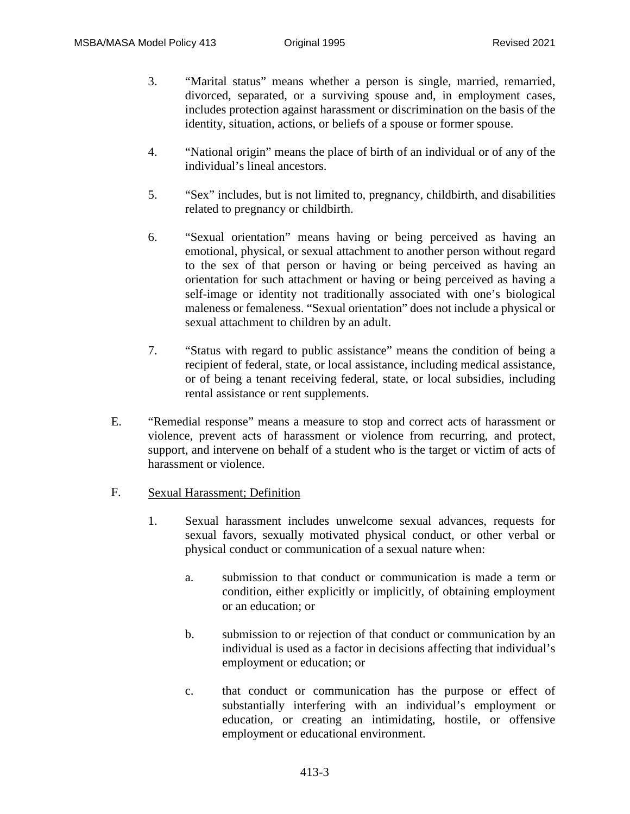- 3. "Marital status" means whether a person is single, married, remarried, divorced, separated, or a surviving spouse and, in employment cases, includes protection against harassment or discrimination on the basis of the identity, situation, actions, or beliefs of a spouse or former spouse.
- 4. "National origin" means the place of birth of an individual or of any of the individual's lineal ancestors.
- 5. "Sex" includes, but is not limited to, pregnancy, childbirth, and disabilities related to pregnancy or childbirth.
- 6. "Sexual orientation" means having or being perceived as having an emotional, physical, or sexual attachment to another person without regard to the sex of that person or having or being perceived as having an orientation for such attachment or having or being perceived as having a self-image or identity not traditionally associated with one's biological maleness or femaleness. "Sexual orientation" does not include a physical or sexual attachment to children by an adult.
- 7. "Status with regard to public assistance" means the condition of being a recipient of federal, state, or local assistance, including medical assistance, or of being a tenant receiving federal, state, or local subsidies, including rental assistance or rent supplements.
- E. "Remedial response" means a measure to stop and correct acts of harassment or violence, prevent acts of harassment or violence from recurring, and protect, support, and intervene on behalf of a student who is the target or victim of acts of harassment or violence.
- F. Sexual Harassment; Definition
	- 1. Sexual harassment includes unwelcome sexual advances, requests for sexual favors, sexually motivated physical conduct, or other verbal or physical conduct or communication of a sexual nature when:
		- a. submission to that conduct or communication is made a term or condition, either explicitly or implicitly, of obtaining employment or an education; or
		- b. submission to or rejection of that conduct or communication by an individual is used as a factor in decisions affecting that individual's employment or education; or
		- c. that conduct or communication has the purpose or effect of substantially interfering with an individual's employment or education, or creating an intimidating, hostile, or offensive employment or educational environment.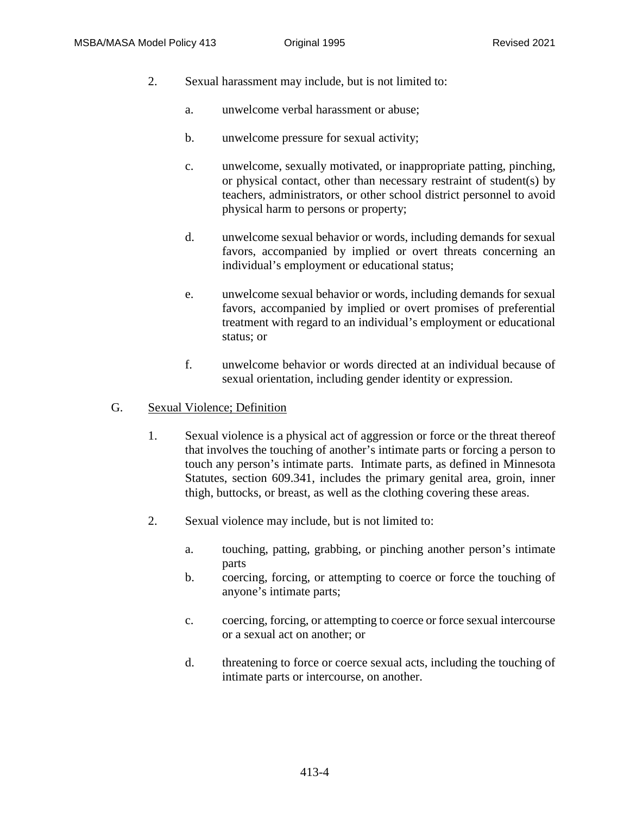- 2. Sexual harassment may include, but is not limited to:
	- a. unwelcome verbal harassment or abuse;
	- b. unwelcome pressure for sexual activity;
	- c. unwelcome, sexually motivated, or inappropriate patting, pinching, or physical contact, other than necessary restraint of student(s) by teachers, administrators, or other school district personnel to avoid physical harm to persons or property;
	- d. unwelcome sexual behavior or words, including demands for sexual favors, accompanied by implied or overt threats concerning an individual's employment or educational status;
	- e. unwelcome sexual behavior or words, including demands for sexual favors, accompanied by implied or overt promises of preferential treatment with regard to an individual's employment or educational status; or
	- f. unwelcome behavior or words directed at an individual because of sexual orientation, including gender identity or expression.

#### G. Sexual Violence; Definition

- 1. Sexual violence is a physical act of aggression or force or the threat thereof that involves the touching of another's intimate parts or forcing a person to touch any person's intimate parts. Intimate parts, as defined in Minnesota Statutes, section 609.341, includes the primary genital area, groin, inner thigh, buttocks, or breast, as well as the clothing covering these areas.
- 2. Sexual violence may include, but is not limited to:
	- a. touching, patting, grabbing, or pinching another person's intimate parts
	- b. coercing, forcing, or attempting to coerce or force the touching of anyone's intimate parts;
	- c. coercing, forcing, or attempting to coerce or force sexual intercourse or a sexual act on another; or
	- d. threatening to force or coerce sexual acts, including the touching of intimate parts or intercourse, on another.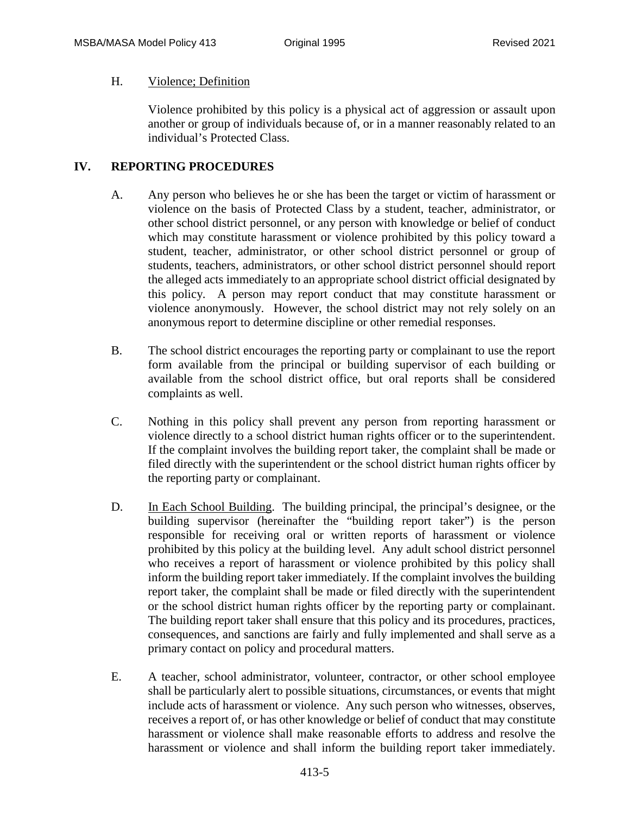#### H. Violence; Definition

Violence prohibited by this policy is a physical act of aggression or assault upon another or group of individuals because of, or in a manner reasonably related to an individual's Protected Class.

### **IV. REPORTING PROCEDURES**

- A. Any person who believes he or she has been the target or victim of harassment or violence on the basis of Protected Class by a student, teacher, administrator, or other school district personnel, or any person with knowledge or belief of conduct which may constitute harassment or violence prohibited by this policy toward a student, teacher, administrator, or other school district personnel or group of students, teachers, administrators, or other school district personnel should report the alleged acts immediately to an appropriate school district official designated by this policy. A person may report conduct that may constitute harassment or violence anonymously. However, the school district may not rely solely on an anonymous report to determine discipline or other remedial responses.
- B. The school district encourages the reporting party or complainant to use the report form available from the principal or building supervisor of each building or available from the school district office, but oral reports shall be considered complaints as well.
- C. Nothing in this policy shall prevent any person from reporting harassment or violence directly to a school district human rights officer or to the superintendent. If the complaint involves the building report taker, the complaint shall be made or filed directly with the superintendent or the school district human rights officer by the reporting party or complainant.
- D. In Each School Building. The building principal, the principal's designee, or the building supervisor (hereinafter the "building report taker") is the person responsible for receiving oral or written reports of harassment or violence prohibited by this policy at the building level. Any adult school district personnel who receives a report of harassment or violence prohibited by this policy shall inform the building report taker immediately. If the complaint involves the building report taker, the complaint shall be made or filed directly with the superintendent or the school district human rights officer by the reporting party or complainant. The building report taker shall ensure that this policy and its procedures, practices, consequences, and sanctions are fairly and fully implemented and shall serve as a primary contact on policy and procedural matters.
- E. A teacher, school administrator, volunteer, contractor, or other school employee shall be particularly alert to possible situations, circumstances, or events that might include acts of harassment or violence. Any such person who witnesses, observes, receives a report of, or has other knowledge or belief of conduct that may constitute harassment or violence shall make reasonable efforts to address and resolve the harassment or violence and shall inform the building report taker immediately.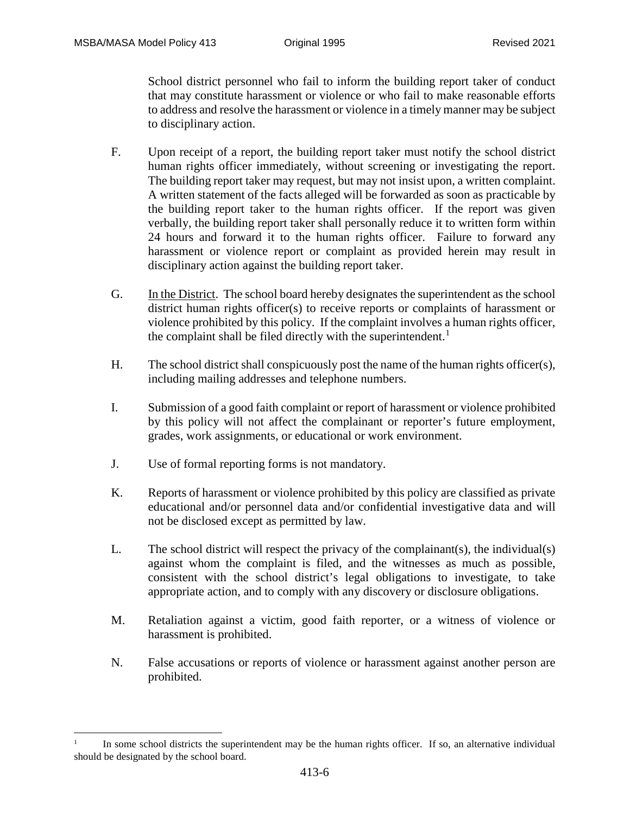-

School district personnel who fail to inform the building report taker of conduct that may constitute harassment or violence or who fail to make reasonable efforts to address and resolve the harassment or violence in a timely manner may be subject to disciplinary action.

- F. Upon receipt of a report, the building report taker must notify the school district human rights officer immediately, without screening or investigating the report. The building report taker may request, but may not insist upon, a written complaint. A written statement of the facts alleged will be forwarded as soon as practicable by the building report taker to the human rights officer. If the report was given verbally, the building report taker shall personally reduce it to written form within 24 hours and forward it to the human rights officer. Failure to forward any harassment or violence report or complaint as provided herein may result in disciplinary action against the building report taker.
- G. In the District. The school board hereby designates the superintendent as the school district human rights officer(s) to receive reports or complaints of harassment or violence prohibited by this policy. If the complaint involves a human rights officer, the complaint shall be filed directly with the superintendent.<sup>[1](#page-5-0)</sup>
- H. The school district shall conspicuously post the name of the human rights officer(s), including mailing addresses and telephone numbers.
- I. Submission of a good faith complaint or report of harassment or violence prohibited by this policy will not affect the complainant or reporter's future employment, grades, work assignments, or educational or work environment.
- J. Use of formal reporting forms is not mandatory.
- K. Reports of harassment or violence prohibited by this policy are classified as private educational and/or personnel data and/or confidential investigative data and will not be disclosed except as permitted by law.
- L. The school district will respect the privacy of the complainant(s), the individual(s) against whom the complaint is filed, and the witnesses as much as possible, consistent with the school district's legal obligations to investigate, to take appropriate action, and to comply with any discovery or disclosure obligations.
- M. Retaliation against a victim, good faith reporter, or a witness of violence or harassment is prohibited.
- N. False accusations or reports of violence or harassment against another person are prohibited.

<span id="page-5-0"></span>In some school districts the superintendent may be the human rights officer. If so, an alternative individual should be designated by the school board.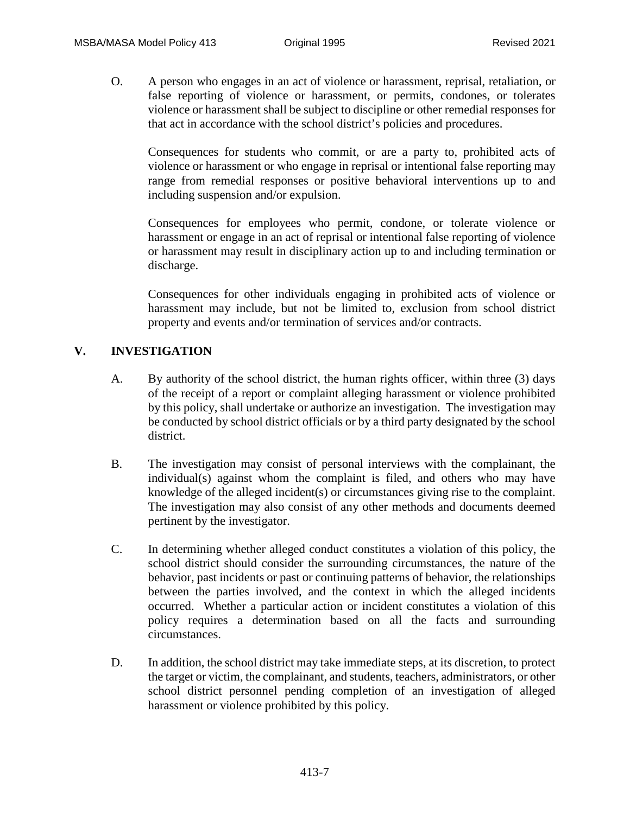O. A person who engages in an act of violence or harassment, reprisal, retaliation, or false reporting of violence or harassment, or permits, condones, or tolerates violence or harassment shall be subject to discipline or other remedial responses for that act in accordance with the school district's policies and procedures.

Consequences for students who commit, or are a party to, prohibited acts of violence or harassment or who engage in reprisal or intentional false reporting may range from remedial responses or positive behavioral interventions up to and including suspension and/or expulsion.

Consequences for employees who permit, condone, or tolerate violence or harassment or engage in an act of reprisal or intentional false reporting of violence or harassment may result in disciplinary action up to and including termination or discharge.

Consequences for other individuals engaging in prohibited acts of violence or harassment may include, but not be limited to, exclusion from school district property and events and/or termination of services and/or contracts.

## **V. INVESTIGATION**

- A. By authority of the school district, the human rights officer, within three (3) days of the receipt of a report or complaint alleging harassment or violence prohibited by this policy, shall undertake or authorize an investigation. The investigation may be conducted by school district officials or by a third party designated by the school district.
- B. The investigation may consist of personal interviews with the complainant, the individual(s) against whom the complaint is filed, and others who may have knowledge of the alleged incident(s) or circumstances giving rise to the complaint. The investigation may also consist of any other methods and documents deemed pertinent by the investigator.
- C. In determining whether alleged conduct constitutes a violation of this policy, the school district should consider the surrounding circumstances, the nature of the behavior, past incidents or past or continuing patterns of behavior, the relationships between the parties involved, and the context in which the alleged incidents occurred. Whether a particular action or incident constitutes a violation of this policy requires a determination based on all the facts and surrounding circumstances.
- D. In addition, the school district may take immediate steps, at its discretion, to protect the target or victim, the complainant, and students, teachers, administrators, or other school district personnel pending completion of an investigation of alleged harassment or violence prohibited by this policy.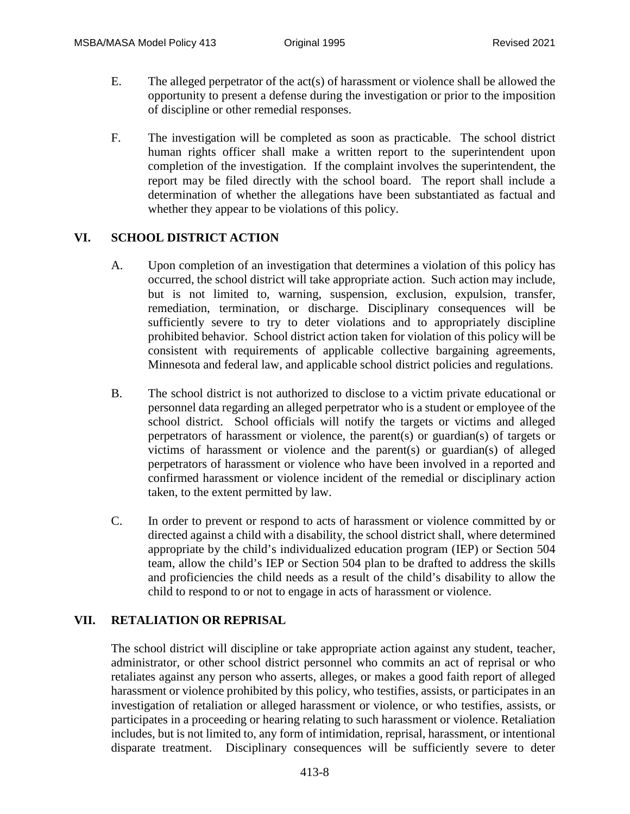- E. The alleged perpetrator of the act(s) of harassment or violence shall be allowed the opportunity to present a defense during the investigation or prior to the imposition of discipline or other remedial responses.
- F. The investigation will be completed as soon as practicable. The school district human rights officer shall make a written report to the superintendent upon completion of the investigation. If the complaint involves the superintendent, the report may be filed directly with the school board. The report shall include a determination of whether the allegations have been substantiated as factual and whether they appear to be violations of this policy.

# **VI. SCHOOL DISTRICT ACTION**

- A. Upon completion of an investigation that determines a violation of this policy has occurred, the school district will take appropriate action. Such action may include, but is not limited to, warning, suspension, exclusion, expulsion, transfer, remediation, termination, or discharge. Disciplinary consequences will be sufficiently severe to try to deter violations and to appropriately discipline prohibited behavior. School district action taken for violation of this policy will be consistent with requirements of applicable collective bargaining agreements, Minnesota and federal law, and applicable school district policies and regulations.
- B. The school district is not authorized to disclose to a victim private educational or personnel data regarding an alleged perpetrator who is a student or employee of the school district. School officials will notify the targets or victims and alleged perpetrators of harassment or violence, the parent(s) or guardian(s) of targets or victims of harassment or violence and the parent(s) or guardian(s) of alleged perpetrators of harassment or violence who have been involved in a reported and confirmed harassment or violence incident of the remedial or disciplinary action taken, to the extent permitted by law.
- C. In order to prevent or respond to acts of harassment or violence committed by or directed against a child with a disability, the school district shall, where determined appropriate by the child's individualized education program (IEP) or Section 504 team, allow the child's IEP or Section 504 plan to be drafted to address the skills and proficiencies the child needs as a result of the child's disability to allow the child to respond to or not to engage in acts of harassment or violence.

## **VII. RETALIATION OR REPRISAL**

The school district will discipline or take appropriate action against any student, teacher, administrator, or other school district personnel who commits an act of reprisal or who retaliates against any person who asserts, alleges, or makes a good faith report of alleged harassment or violence prohibited by this policy, who testifies, assists, or participates in an investigation of retaliation or alleged harassment or violence, or who testifies, assists, or participates in a proceeding or hearing relating to such harassment or violence. Retaliation includes, but is not limited to, any form of intimidation, reprisal, harassment, or intentional disparate treatment. Disciplinary consequences will be sufficiently severe to deter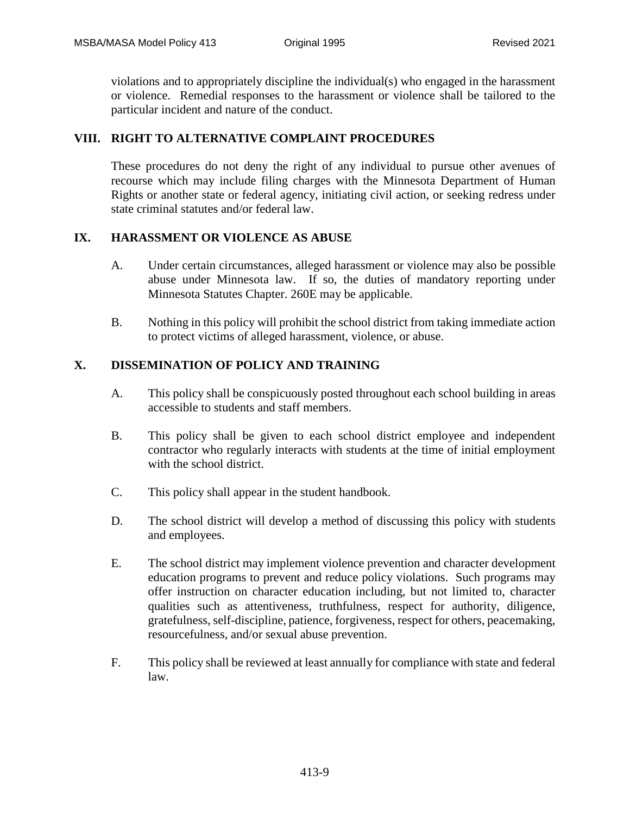violations and to appropriately discipline the individual(s) who engaged in the harassment or violence. Remedial responses to the harassment or violence shall be tailored to the particular incident and nature of the conduct.

## **VIII. RIGHT TO ALTERNATIVE COMPLAINT PROCEDURES**

These procedures do not deny the right of any individual to pursue other avenues of recourse which may include filing charges with the Minnesota Department of Human Rights or another state or federal agency, initiating civil action, or seeking redress under state criminal statutes and/or federal law.

## **IX. HARASSMENT OR VIOLENCE AS ABUSE**

- A. Under certain circumstances, alleged harassment or violence may also be possible abuse under Minnesota law. If so, the duties of mandatory reporting under Minnesota Statutes Chapter. 260E may be applicable.
- B. Nothing in this policy will prohibit the school district from taking immediate action to protect victims of alleged harassment, violence, or abuse.

## **X. DISSEMINATION OF POLICY AND TRAINING**

- A. This policy shall be conspicuously posted throughout each school building in areas accessible to students and staff members.
- B. This policy shall be given to each school district employee and independent contractor who regularly interacts with students at the time of initial employment with the school district.
- C. This policy shall appear in the student handbook.
- D. The school district will develop a method of discussing this policy with students and employees.
- E. The school district may implement violence prevention and character development education programs to prevent and reduce policy violations. Such programs may offer instruction on character education including, but not limited to, character qualities such as attentiveness, truthfulness, respect for authority, diligence, gratefulness, self-discipline, patience, forgiveness, respect for others, peacemaking, resourcefulness, and/or sexual abuse prevention.
- F. This policy shall be reviewed at least annually for compliance with state and federal law.